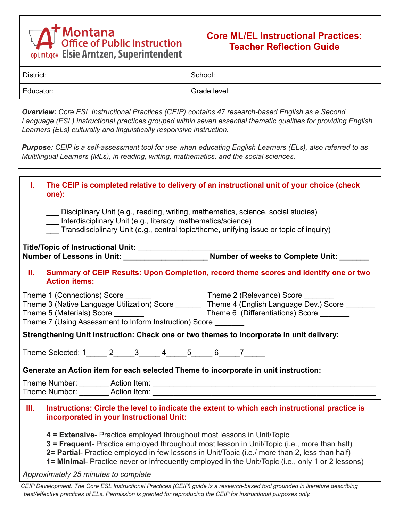## **Montana**<br>Office of Public Instruction opi.mt.gov Elsie Arntzen, Superintendent

## **Core ML/EL Instructional Practices: Teacher Reflection Guide**

| -         |              |
|-----------|--------------|
| District: | School:      |
| Educator: | Grade level: |

*Overview: Core ESL Instructional Practices (CEIP) contains 47 research-based English as a Second Language (ESL) instructional practices grouped within seven essential thematic qualities for providing English Learners (ELs) culturally and linguistically responsive instruction.*

Purpose: CEIP is a self-assessment tool for use when educating English Learners (ELs), also referred to as *Multilingual Learners (MLs), in reading, writing, mathematics, and the social sciences.*

| ı.         | The CEIP is completed relative to delivery of an instructional unit of your choice (check<br>one):                                                                                                                                                                                                                                                                           |  |
|------------|------------------------------------------------------------------------------------------------------------------------------------------------------------------------------------------------------------------------------------------------------------------------------------------------------------------------------------------------------------------------------|--|
|            | Disciplinary Unit (e.g., reading, writing, mathematics, science, social studies)<br>Interdisciplinary Unit (e.g., literacy, mathematics/science)<br>Transdisciplinary Unit (e.g., central topic/theme, unifying issue or topic of inquiry)                                                                                                                                   |  |
|            |                                                                                                                                                                                                                                                                                                                                                                              |  |
|            | Title/Topic of Instructional Unit: ____________________________Number of weeks to Complete Unit: ___<br>Number of Lessons in Unit: ______________________Number of weeks to Complete Unit: __                                                                                                                                                                                |  |
| <b>II.</b> | Summary of CEIP Results: Upon Completion, record theme scores and identify one or two<br><b>Action items:</b>                                                                                                                                                                                                                                                                |  |
|            |                                                                                                                                                                                                                                                                                                                                                                              |  |
|            | Theme 3 (Native Language Utilization) Score _______ Theme 4 (English Language Dev.) Score _____                                                                                                                                                                                                                                                                              |  |
|            | Theme 6 (Differentiations) Score ______                                                                                                                                                                                                                                                                                                                                      |  |
|            |                                                                                                                                                                                                                                                                                                                                                                              |  |
|            | Strengthening Unit Instruction: Check one or two themes to incorporate in unit delivery:                                                                                                                                                                                                                                                                                     |  |
|            | Theme Selected: 1______ 2______ 3______ 4_____ 5_____ 6_____ 7______                                                                                                                                                                                                                                                                                                         |  |
|            | Generate an Action item for each selected Theme to incorporate in unit instruction:                                                                                                                                                                                                                                                                                          |  |
|            |                                                                                                                                                                                                                                                                                                                                                                              |  |
|            |                                                                                                                                                                                                                                                                                                                                                                              |  |
| Ш.         | Instructions: Circle the level to indicate the extent to which each instructional practice is<br>incorporated in your Instructional Unit:                                                                                                                                                                                                                                    |  |
|            | 4 = Extensive- Practice employed throughout most lessons in Unit/Topic<br>3 = Frequent- Practice employed throughout most lesson in Unit/Topic (i.e., more than half)<br>2= Partial- Practice employed in few lessons in Unit/Topic (i.e./ more than 2, less than half)<br>1= Minimal- Practice never or infrequently employed in the Unit/Topic (i.e., only 1 or 2 lessons) |  |
|            | Approximately 25 minutes to complete                                                                                                                                                                                                                                                                                                                                         |  |
|            | CEIP Development: The Core ESL Instructional Practices (CEIP) guide is a research-based tool grounded in literature describing                                                                                                                                                                                                                                               |  |

*best/effective practices of ELs. Permission is granted for reproducing the CEIP for instructional purposes only.*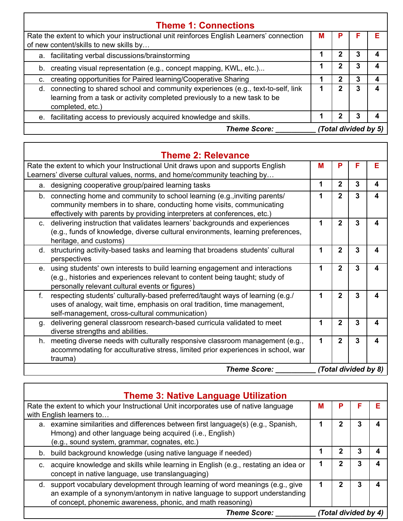| <b>Theme 1: Connections</b>                                                                                                                                                         |   |              |   |   |
|-------------------------------------------------------------------------------------------------------------------------------------------------------------------------------------|---|--------------|---|---|
| Rate the extent to which your instructional unit reinforces English Learners' connection<br>of new content/skills to new skills by                                                  | м |              |   | F |
| a. facilitating verbal discussions/brainstorming                                                                                                                                    |   |              | 3 |   |
| b. creating visual representation (e.g., concept mapping, KWL, etc.)                                                                                                                |   | 2            | 3 |   |
| creating opportunities for Paired learning/Cooperative Sharing<br>C.                                                                                                                |   | $\mathbf{2}$ | 3 |   |
| d. connecting to shared school and community experiences (e.g., text-to-self, link<br>learning from a task or activity completed previously to a new task to be<br>completed, etc.) |   |              |   |   |
| facilitating access to previously acquired knowledge and skills.<br>e.                                                                                                              |   |              | 3 |   |
| (Total divided by 5)<br><b>Theme Score:</b>                                                                                                                                         |   |              |   |   |

| <b>Theme 2: Relevance</b>                                                                                                                                                                                                        |   |                |                      |   |
|----------------------------------------------------------------------------------------------------------------------------------------------------------------------------------------------------------------------------------|---|----------------|----------------------|---|
| Rate the extent to which your Instructional Unit draws upon and supports English<br>Learners' diverse cultural values, norms, and home/community teaching by                                                                     | М | P              | F                    | Е |
| designing cooperative group/paired learning tasks<br>a.                                                                                                                                                                          | 1 | $\mathbf{2}$   | 3                    | 4 |
| b. connecting home and community to school learning (e.g., inviting parents/<br>community members in to share, conducting home visits, communicating<br>effectively with parents by providing interpreters at conferences, etc.) |   | $\overline{2}$ | 3                    | 4 |
| delivering instruction that validates learners' backgrounds and experiences<br>$C_{\cdot}$<br>(e.g., funds of knowledge, diverse cultural environments, learning preferences,<br>heritage, and customs)                          | 1 | $\overline{2}$ | 3                    | 4 |
| d. structuring activity-based tasks and learning that broadens students' cultural<br>perspectives                                                                                                                                |   | $\overline{2}$ | 3                    | 4 |
| e. using students' own interests to build learning engagement and interactions<br>(e.g., histories and experiences relevant to content being taught; study of<br>personally relevant cultural events or figures)                 | 1 | $\overline{2}$ | 3                    | 4 |
| $f_{\cdot}$<br>respecting students' culturally-based preferred/taught ways of learning (e.g./<br>uses of analogy, wait time, emphasis on oral tradition, time management,<br>self-management, cross-cultural communication)      | 1 | $\mathbf{2}$   | 3                    | 4 |
| delivering general classroom research-based curricula validated to meet<br>g.<br>diverse strengths and abilities.                                                                                                                | 1 | $\mathbf{2}$   | 3                    | 4 |
| meeting diverse needs with culturally responsive classroom management (e.g.,<br>h.<br>accommodating for acculturative stress, limited prior experiences in school, war<br>trauma)                                                | 1 | $\overline{2}$ | 3                    | 4 |
| <b>Theme Score:</b>                                                                                                                                                                                                              |   |                | (Total divided by 8) |   |

| <b>Theme 3: Native Language Utilization</b>                                                                                                                                                                                   |   |   |                      |  |
|-------------------------------------------------------------------------------------------------------------------------------------------------------------------------------------------------------------------------------|---|---|----------------------|--|
| Rate the extent to which your Instructional Unit incorporates use of native language<br>with English learners to                                                                                                              | М | Р |                      |  |
| a. examine similarities and differences between first language(s) (e.g., Spanish,<br>Hmong) and other language being acquired (i.e., English)<br>(e.g., sound system, grammar, cognates, etc.)                                |   |   |                      |  |
| b. build background knowledge (using native language if needed)                                                                                                                                                               |   | 2 | 3                    |  |
| c. acquire knowledge and skills while learning in English (e.g., restating an idea or<br>concept in native language, use translanguaging)                                                                                     |   | 2 |                      |  |
| d. support vocabulary development through learning of word meanings (e.g., give<br>an example of a synonym/antonym in native language to support understanding<br>of concept, phonemic awareness, phonic, and math reasoning) |   | 2 |                      |  |
| <b>Theme Score:</b>                                                                                                                                                                                                           |   |   | (Total divided by 4) |  |

٦

Г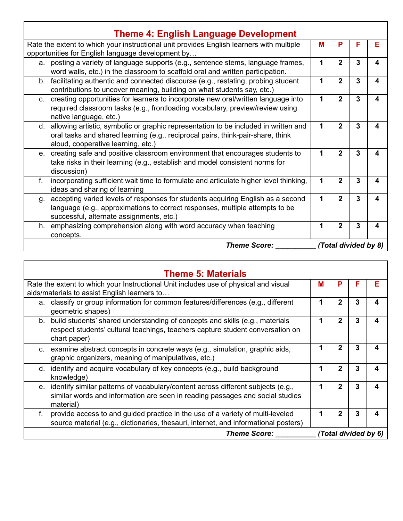| <b>Theme 4: English Language Development</b>                                                                                                                                                                      |   |                |                      |                  |
|-------------------------------------------------------------------------------------------------------------------------------------------------------------------------------------------------------------------|---|----------------|----------------------|------------------|
| Rate the extent to which your instructional unit provides English learners with multiple<br>opportunities for English language development by                                                                     | м | P              | F                    | Е                |
| a. posting a variety of language supports (e.g., sentence stems, language frames,<br>word walls, etc.) in the classroom to scaffold oral and written participation.                                               | 1 | $\mathbf{2}$   | 3                    | 4                |
| facilitating authentic and connected discourse (e.g., restating, probing student<br>b.<br>contributions to uncover meaning, building on what students say, etc.)                                                  | 1 | $\overline{2}$ | 3                    | 4                |
| creating opportunities for learners to incorporate new oral/written language into<br>$C_{1}$<br>required classroom tasks (e.g., frontloading vocabulary, preview/review using<br>native language, etc.)           | 1 | $\overline{2}$ | 3                    | $\boldsymbol{4}$ |
| d. allowing artistic, symbolic or graphic representation to be included in written and<br>oral tasks and shared learning (e.g., reciprocal pairs, think-pair-share, think<br>aloud, cooperative learning, etc.)   | 1 | $\mathbf 2$    | 3                    | 4                |
| creating safe and positive classroom environment that encourages students to<br>e.<br>take risks in their learning (e.g., establish and model consistent norms for<br>discussion)                                 | 1 | $\mathbf{2}$   | 3                    | 4                |
| incorporating sufficient wait time to formulate and articulate higher level thinking,<br>f.<br>ideas and sharing of learning                                                                                      | 1 | $\mathbf{2}$   | 3                    | $\boldsymbol{4}$ |
| accepting varied levels of responses for students acquiring English as a second<br>g.<br>language (e.g., approximations to correct responses, multiple attempts to be<br>successful, alternate assignments, etc.) | 1 | $\overline{2}$ | 3                    | 4                |
| emphasizing comprehension along with word accuracy when teaching<br>h.<br>concepts.                                                                                                                               | 1 | $\overline{2}$ | 3                    | 4                |
| <b>Theme Score:</b>                                                                                                                                                                                               |   |                | (Total divided by 8) |                  |

| <b>Theme 5: Materials</b>                                                                                                                                                            |   |              |                      |   |
|--------------------------------------------------------------------------------------------------------------------------------------------------------------------------------------|---|--------------|----------------------|---|
| Rate the extent to which your Instructional Unit includes use of physical and visual                                                                                                 | м | Р            | F                    | Е |
| aids/materials to assist English learners to                                                                                                                                         |   |              |                      |   |
| a. classify or group information for common features/differences (e.g., different<br>geometric shapes)                                                                               |   | $\mathbf{2}$ | 3                    | 4 |
| build students' shared understanding of concepts and skills (e.g., materials<br>b.<br>respect students' cultural teachings, teachers capture student conversation on<br>chart paper) |   | $\mathbf 2$  | 3                    | 4 |
| c. examine abstract concepts in concrete ways (e.g., simulation, graphic aids,<br>graphic organizers, meaning of manipulatives, etc.)                                                |   | 2            | 3                    | 4 |
| identify and acquire vocabulary of key concepts (e.g., build background<br>d.<br>knowledge)                                                                                          | 1 | $\mathbf{2}$ | 3                    | 4 |
| identify similar patterns of vocabulary/content across different subjects (e.g.,<br>e.<br>similar words and information are seen in reading passages and social studies<br>material) | 1 | $\mathbf{2}$ | 3                    | 4 |
| provide access to and guided practice in the use of a variety of multi-leveled<br>f.<br>source material (e.g., dictionaries, thesauri, internet, and informational posters)          | 1 | $\mathbf{2}$ | 3                    | 4 |
| <b>Theme Score:</b>                                                                                                                                                                  |   |              | (Total divided by 6) |   |